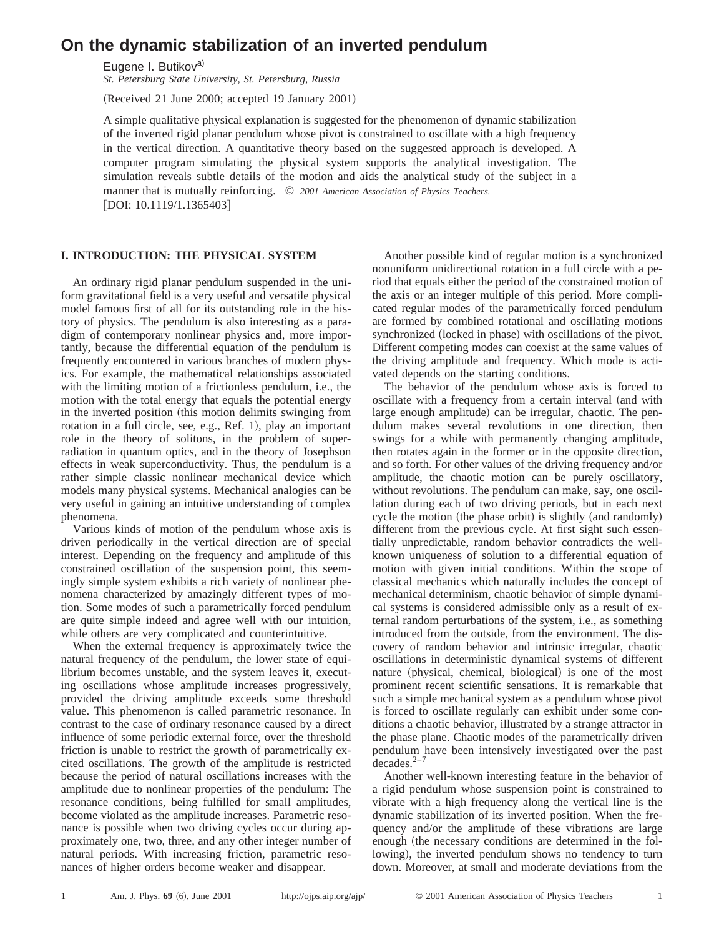# **On the dynamic stabilization of an inverted pendulum**

Eugene I. Butikov<sup>a)</sup>

*St. Petersburg State University, St. Petersburg, Russia*

 $(Received 21 June 2000; accepted 19 January 2001)$ 

A simple qualitative physical explanation is suggested for the phenomenon of dynamic stabilization of the inverted rigid planar pendulum whose pivot is constrained to oscillate with a high frequency in the vertical direction. A quantitative theory based on the suggested approach is developed. A computer program simulating the physical system supports the analytical investigation. The simulation reveals subtle details of the motion and aids the analytical study of the subject in a manner that is mutually reinforcing. © *2001 American Association of Physics Teachers.* [DOI: 10.1119/1.1365403]

#### **I. INTRODUCTION: THE PHYSICAL SYSTEM**

An ordinary rigid planar pendulum suspended in the uniform gravitational field is a very useful and versatile physical model famous first of all for its outstanding role in the history of physics. The pendulum is also interesting as a paradigm of contemporary nonlinear physics and, more importantly, because the differential equation of the pendulum is frequently encountered in various branches of modern physics. For example, the mathematical relationships associated with the limiting motion of a frictionless pendulum, i.e., the motion with the total energy that equals the potential energy in the inverted position (this motion delimits swinging from rotation in a full circle, see, e.g., Ref. 1), play an important role in the theory of solitons, in the problem of superradiation in quantum optics, and in the theory of Josephson effects in weak superconductivity. Thus, the pendulum is a rather simple classic nonlinear mechanical device which models many physical systems. Mechanical analogies can be very useful in gaining an intuitive understanding of complex phenomena.

Various kinds of motion of the pendulum whose axis is driven periodically in the vertical direction are of special interest. Depending on the frequency and amplitude of this constrained oscillation of the suspension point, this seemingly simple system exhibits a rich variety of nonlinear phenomena characterized by amazingly different types of motion. Some modes of such a parametrically forced pendulum are quite simple indeed and agree well with our intuition, while others are very complicated and counterintuitive.

When the external frequency is approximately twice the natural frequency of the pendulum, the lower state of equilibrium becomes unstable, and the system leaves it, executing oscillations whose amplitude increases progressively, provided the driving amplitude exceeds some threshold value. This phenomenon is called parametric resonance. In contrast to the case of ordinary resonance caused by a direct influence of some periodic external force, over the threshold friction is unable to restrict the growth of parametrically excited oscillations. The growth of the amplitude is restricted because the period of natural oscillations increases with the amplitude due to nonlinear properties of the pendulum: The resonance conditions, being fulfilled for small amplitudes, become violated as the amplitude increases. Parametric resonance is possible when two driving cycles occur during approximately one, two, three, and any other integer number of natural periods. With increasing friction, parametric resonances of higher orders become weaker and disappear.

Another possible kind of regular motion is a synchronized nonuniform unidirectional rotation in a full circle with a period that equals either the period of the constrained motion of the axis or an integer multiple of this period. More complicated regular modes of the parametrically forced pendulum are formed by combined rotational and oscillating motions synchronized (locked in phase) with oscillations of the pivot. Different competing modes can coexist at the same values of the driving amplitude and frequency. Which mode is activated depends on the starting conditions.

The behavior of the pendulum whose axis is forced to oscillate with a frequency from a certain interval (and with large enough amplitude) can be irregular, chaotic. The pendulum makes several revolutions in one direction, then swings for a while with permanently changing amplitude, then rotates again in the former or in the opposite direction, and so forth. For other values of the driving frequency and/or amplitude, the chaotic motion can be purely oscillatory, without revolutions. The pendulum can make, say, one oscillation during each of two driving periods, but in each next cycle the motion (the phase orbit) is slightly  $($ and randomly $)$ different from the previous cycle. At first sight such essentially unpredictable, random behavior contradicts the wellknown uniqueness of solution to a differential equation of motion with given initial conditions. Within the scope of classical mechanics which naturally includes the concept of mechanical determinism, chaotic behavior of simple dynamical systems is considered admissible only as a result of external random perturbations of the system, i.e., as something introduced from the outside, from the environment. The discovery of random behavior and intrinsic irregular, chaotic oscillations in deterministic dynamical systems of different nature (physical, chemical, biological) is one of the most prominent recent scientific sensations. It is remarkable that such a simple mechanical system as a pendulum whose pivot is forced to oscillate regularly can exhibit under some conditions a chaotic behavior, illustrated by a strange attractor in the phase plane. Chaotic modes of the parametrically driven pendulum have been intensively investigated over the past decades. $2-7$ 

Another well-known interesting feature in the behavior of a rigid pendulum whose suspension point is constrained to vibrate with a high frequency along the vertical line is the dynamic stabilization of its inverted position. When the frequency and/or the amplitude of these vibrations are large enough (the necessary conditions are determined in the following), the inverted pendulum shows no tendency to turn down. Moreover, at small and moderate deviations from the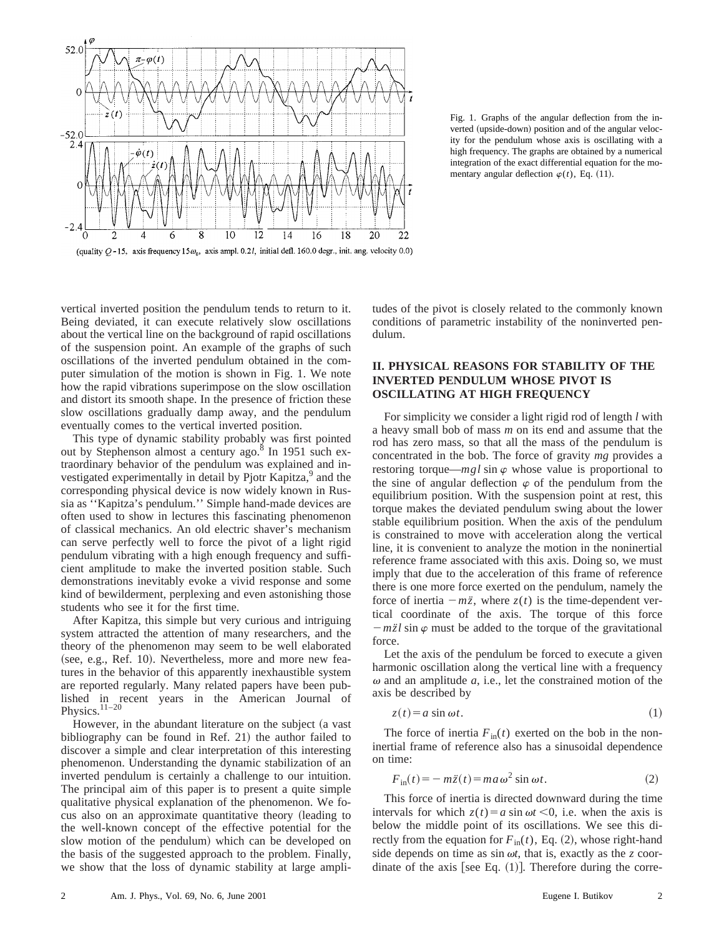

Fig. 1. Graphs of the angular deflection from the inverted (upside-down) position and of the angular velocity for the pendulum whose axis is oscillating with a high frequency. The graphs are obtained by a numerical integration of the exact differential equation for the momentary angular deflection  $\varphi(t)$ , Eq. (11).

vertical inverted position the pendulum tends to return to it. Being deviated, it can execute relatively slow oscillations about the vertical line on the background of rapid oscillations of the suspension point. An example of the graphs of such oscillations of the inverted pendulum obtained in the computer simulation of the motion is shown in Fig. 1. We note how the rapid vibrations superimpose on the slow oscillation and distort its smooth shape. In the presence of friction these slow oscillations gradually damp away, and the pendulum eventually comes to the vertical inverted position.

This type of dynamic stability probably was first pointed out by Stephenson almost a century ago.<sup>8</sup> In 1951 such extraordinary behavior of the pendulum was explained and investigated experimentally in detail by Pjotr Kapitza,<sup>9</sup> and the corresponding physical device is now widely known in Russia as ''Kapitza's pendulum.'' Simple hand-made devices are often used to show in lectures this fascinating phenomenon of classical mechanics. An old electric shaver's mechanism can serve perfectly well to force the pivot of a light rigid pendulum vibrating with a high enough frequency and sufficient amplitude to make the inverted position stable. Such demonstrations inevitably evoke a vivid response and some kind of bewilderment, perplexing and even astonishing those students who see it for the first time.

After Kapitza, this simple but very curious and intriguing system attracted the attention of many researchers, and the theory of the phenomenon may seem to be well elaborated  $(see, e.g., Ref. 10)$ . Nevertheless, more and more new features in the behavior of this apparently inexhaustible system are reported regularly. Many related papers have been published in recent years in the American Journal of Physics.<sup>11–20</sup>

However, in the abundant literature on the subject (a vast bibliography can be found in Ref. 21) the author failed to discover a simple and clear interpretation of this interesting phenomenon. Understanding the dynamic stabilization of an inverted pendulum is certainly a challenge to our intuition. The principal aim of this paper is to present a quite simple qualitative physical explanation of the phenomenon. We focus also on an approximate quantitative theory (leading to the well-known concept of the effective potential for the slow motion of the pendulum) which can be developed on the basis of the suggested approach to the problem. Finally, we show that the loss of dynamic stability at large amplitudes of the pivot is closely related to the commonly known conditions of parametric instability of the noninverted pendulum.

# **II. PHYSICAL REASONS FOR STABILITY OF THE INVERTED PENDULUM WHOSE PIVOT IS OSCILLATING AT HIGH FREQUENCY**

For simplicity we consider a light rigid rod of length *l* with a heavy small bob of mass *m* on its end and assume that the rod has zero mass, so that all the mass of the pendulum is concentrated in the bob. The force of gravity *mg* provides a restoring torque—*mgl* sin  $\varphi$  whose value is proportional to the sine of angular deflection  $\varphi$  of the pendulum from the equilibrium position. With the suspension point at rest, this torque makes the deviated pendulum swing about the lower stable equilibrium position. When the axis of the pendulum is constrained to move with acceleration along the vertical line, it is convenient to analyze the motion in the noninertial reference frame associated with this axis. Doing so, we must imply that due to the acceleration of this frame of reference there is one more force exerted on the pendulum, namely the force of inertia  $-m\ddot{z}$ , where  $z(t)$  is the time-dependent vertical coordinate of the axis. The torque of this force  $-m\ddot{z}l \sin \varphi$  must be added to the torque of the gravitational force.

Let the axis of the pendulum be forced to execute a given harmonic oscillation along the vertical line with a frequency  $\omega$  and an amplitude  $\alpha$ , i.e., let the constrained motion of the axis be described by

$$
z(t) = a \sin \omega t. \tag{1}
$$

The force of inertia  $F_{in}(t)$  exerted on the bob in the noninertial frame of reference also has a sinusoidal dependence on time:

$$
F_{\rm in}(t) = -m\ddot{z}(t) = ma\,\omega^2\sin\,\omega t.\tag{2}
$$

This force of inertia is directed downward during the time intervals for which  $z(t) = a \sin \omega t \le 0$ , i.e. when the axis is below the middle point of its oscillations. We see this directly from the equation for  $F_{in}(t)$ , Eq. (2), whose right-hand side depends on time as  $sin \omega t$ , that is, exactly as the *z* coordinate of the axis [see Eq.  $(1)$ ]. Therefore during the corre-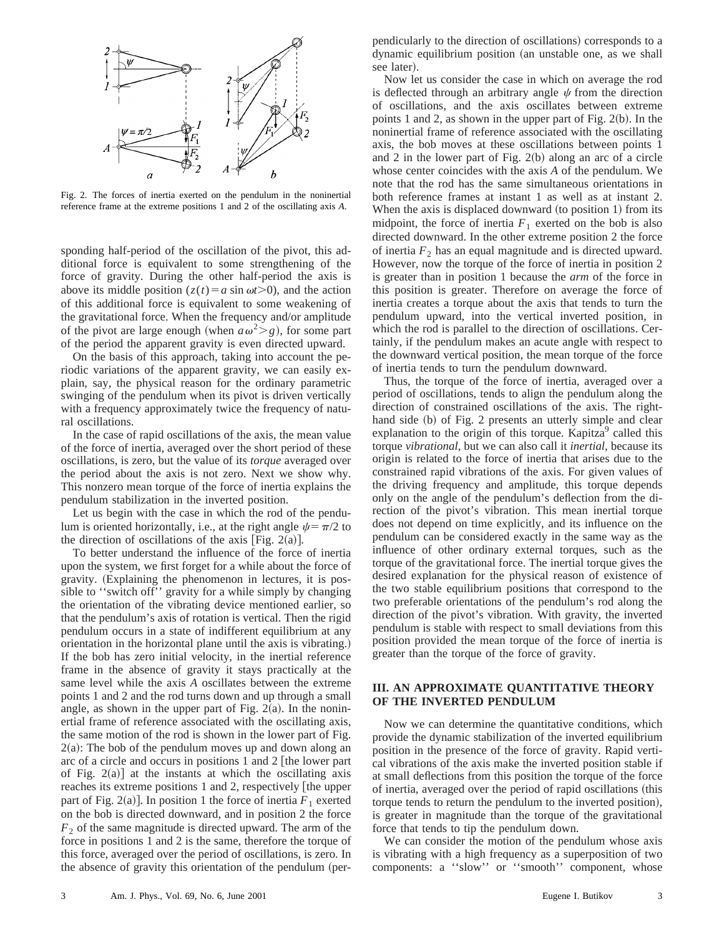

Fig. 2. The forces of inertia exerted on the pendulum in the noninertial reference frame at the extreme positions 1 and 2 of the oscillating axis *A*.

sponding half-period of the oscillation of the pivot, this additional force is equivalent to some strengthening of the force of gravity. During the other half-period the axis is above its middle position ( $z(t) = a \sin \omega t > 0$ ), and the action of this additional force is equivalent to some weakening of the gravitational force. When the frequency and/or amplitude of the pivot are large enough (when  $a\omega^2 > g$ ), for some part of the period the apparent gravity is even directed upward.

On the basis of this approach, taking into account the periodic variations of the apparent gravity, we can easily explain, say, the physical reason for the ordinary parametric swinging of the pendulum when its pivot is driven vertically with a frequency approximately twice the frequency of natural oscillations.

In the case of rapid oscillations of the axis, the mean value of the force of inertia, averaged over the short period of these oscillations, is zero, but the value of its *torque* averaged over the period about the axis is not zero. Next we show why. This nonzero mean torque of the force of inertia explains the pendulum stabilization in the inverted position.

Let us begin with the case in which the rod of the pendulum is oriented horizontally, i.e., at the right angle  $\psi = \pi/2$  to the direction of oscillations of the axis [Fig.  $2(a)$ ].

To better understand the influence of the force of inertia upon the system, we first forget for a while about the force of gravity. (Explaining the phenomenon in lectures, it is possible to ''switch off'' gravity for a while simply by changing the orientation of the vibrating device mentioned earlier, so that the pendulum's axis of rotation is vertical. Then the rigid pendulum occurs in a state of indifferent equilibrium at any orientation in the horizontal plane until the axis is vibrating.) If the bob has zero initial velocity, in the inertial reference frame in the absence of gravity it stays practically at the same level while the axis *A* oscillates between the extreme points 1 and 2 and the rod turns down and up through a small angle, as shown in the upper part of Fig.  $2(a)$ . In the noninertial frame of reference associated with the oscillating axis, the same motion of the rod is shown in the lower part of Fig.  $2(a)$ : The bob of the pendulum moves up and down along an arc of a circle and occurs in positions 1 and 2 [the lower part of Fig.  $2(a)$  at the instants at which the oscillating axis reaches its extreme positions 1 and 2, respectively [the upper part of Fig. 2(a)]. In position 1 the force of inertia  $F_1$  exerted on the bob is directed downward, and in position 2 the force  $F<sub>2</sub>$  of the same magnitude is directed upward. The arm of the force in positions 1 and 2 is the same, therefore the torque of this force, averaged over the period of oscillations, is zero. In the absence of gravity this orientation of the pendulum (perpendicularly to the direction of oscillations) corresponds to a dynamic equilibrium position (an unstable one, as we shall see later).

Now let us consider the case in which on average the rod is deflected through an arbitrary angle  $\psi$  from the direction of oscillations, and the axis oscillates between extreme points 1 and 2, as shown in the upper part of Fig.  $2(b)$ . In the noninertial frame of reference associated with the oscillating axis, the bob moves at these oscillations between points 1 and 2 in the lower part of Fig.  $2(b)$  along an arc of a circle whose center coincides with the axis *A* of the pendulum. We note that the rod has the same simultaneous orientations in both reference frames at instant 1 as well as at instant 2. When the axis is displaced downward (to position 1) from its midpoint, the force of inertia  $F_1$  exerted on the bob is also directed downward. In the other extreme position 2 the force of inertia  $F_2$  has an equal magnitude and is directed upward. However, now the torque of the force of inertia in position 2 is greater than in position 1 because the *arm* of the force in this position is greater. Therefore on average the force of inertia creates a torque about the axis that tends to turn the pendulum upward, into the vertical inverted position, in which the rod is parallel to the direction of oscillations. Certainly, if the pendulum makes an acute angle with respect to the downward vertical position, the mean torque of the force of inertia tends to turn the pendulum downward.

Thus, the torque of the force of inertia, averaged over a period of oscillations, tends to align the pendulum along the direction of constrained oscillations of the axis. The righthand side (b) of Fig. 2 presents an utterly simple and clear explanation to the origin of this torque. Kapitza<sup>9</sup> called this torque *vibrational*, but we can also call it *inertial*, because its origin is related to the force of inertia that arises due to the constrained rapid vibrations of the axis. For given values of the driving frequency and amplitude, this torque depends only on the angle of the pendulum's deflection from the direction of the pivot's vibration. This mean inertial torque does not depend on time explicitly, and its influence on the pendulum can be considered exactly in the same way as the influence of other ordinary external torques, such as the torque of the gravitational force. The inertial torque gives the desired explanation for the physical reason of existence of the two stable equilibrium positions that correspond to the two preferable orientations of the pendulum's rod along the direction of the pivot's vibration. With gravity, the inverted pendulum is stable with respect to small deviations from this position provided the mean torque of the force of inertia is greater than the torque of the force of gravity.

#### **III. AN APPROXIMATE QUANTITATIVE THEORY OF THE INVERTED PENDULUM**

Now we can determine the quantitative conditions, which provide the dynamic stabilization of the inverted equilibrium position in the presence of the force of gravity. Rapid vertical vibrations of the axis make the inverted position stable if at small deflections from this position the torque of the force of inertia, averaged over the period of rapid oscillations (this torque tends to return the pendulum to the inverted position), is greater in magnitude than the torque of the gravitational force that tends to tip the pendulum down.

We can consider the motion of the pendulum whose axis is vibrating with a high frequency as a superposition of two components: a ''slow'' or ''smooth'' component, whose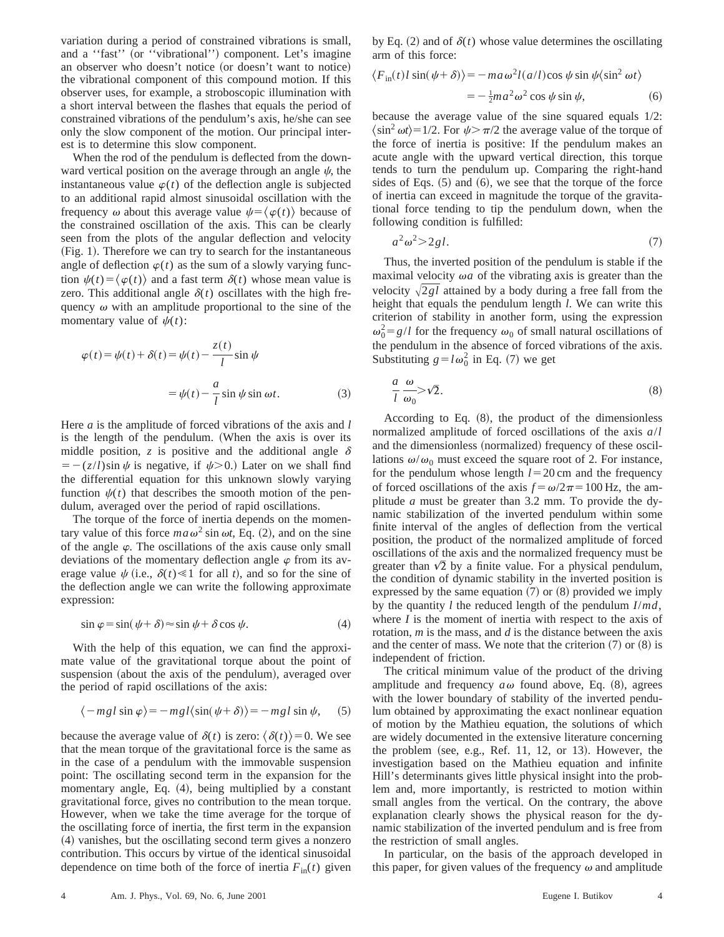variation during a period of constrained vibrations is small, and a "fast" (or "vibrational") component. Let's imagine an observer who doesn't notice (or doesn't want to notice) the vibrational component of this compound motion. If this observer uses, for example, a stroboscopic illumination with a short interval between the flashes that equals the period of constrained vibrations of the pendulum's axis, he/she can see only the slow component of the motion. Our principal interest is to determine this slow component.

When the rod of the pendulum is deflected from the downward vertical position on the average through an angle  $\psi$ , the instantaneous value  $\varphi(t)$  of the deflection angle is subjected to an additional rapid almost sinusoidal oscillation with the frequency  $\omega$  about this average value  $\psi = \langle \varphi(t) \rangle$  because of the constrained oscillation of the axis. This can be clearly seen from the plots of the angular deflection and velocity  $(Fig. 1)$ . Therefore we can try to search for the instantaneous angle of deflection  $\varphi(t)$  as the sum of a slowly varying function  $\psi(t) = \langle \varphi(t) \rangle$  and a fast term  $\delta(t)$  whose mean value is zero. This additional angle  $\delta(t)$  oscillates with the high frequency  $\omega$  with an amplitude proportional to the sine of the momentary value of  $\psi(t)$ :

$$
\varphi(t) = \psi(t) + \delta(t) = \psi(t) - \frac{z(t)}{l} \sin \psi
$$

$$
= \psi(t) - \frac{a}{l} \sin \psi \sin \omega t.
$$
 (3)

Here *a* is the amplitude of forced vibrations of the axis and *l* is the length of the pendulum. (When the axis is over its middle position, *z* is positive and the additional angle  $\delta$  $=-(z/l)\sin\psi$  is negative, if  $\psi>0$ .) Later on we shall find the differential equation for this unknown slowly varying function  $\psi(t)$  that describes the smooth motion of the pendulum, averaged over the period of rapid oscillations.

The torque of the force of inertia depends on the momentary value of this force  $ma\omega^2 \sin \omega t$ , Eq. (2), and on the sine of the angle  $\varphi$ . The oscillations of the axis cause only small deviations of the momentary deflection angle  $\varphi$  from its average value  $\psi$  (i.e.,  $\delta(t) \ll 1$  for all *t*), and so for the sine of the deflection angle we can write the following approximate expression:

$$
\sin \varphi = \sin(\psi + \delta) \approx \sin \psi + \delta \cos \psi. \tag{4}
$$

With the help of this equation, we can find the approximate value of the gravitational torque about the point of suspension (about the axis of the pendulum), averaged over the period of rapid oscillations of the axis:

$$
\langle -mgl\sin\varphi \rangle = -mgl\langle \sin(\psi + \delta) \rangle = -mgl\sin\psi, \quad (5)
$$

because the average value of  $\delta(t)$  is zero:  $\langle \delta(t) \rangle = 0$ . We see that the mean torque of the gravitational force is the same as in the case of a pendulum with the immovable suspension point: The oscillating second term in the expansion for the momentary angle, Eq.  $(4)$ , being multiplied by a constant gravitational force, gives no contribution to the mean torque. However, when we take the time average for the torque of the oscillating force of inertia, the first term in the expansion ~4! vanishes, but the oscillating second term gives a nonzero contribution. This occurs by virtue of the identical sinusoidal dependence on time both of the force of inertia  $F_{in}(t)$  given

by Eq. (2) and of  $\delta(t)$  whose value determines the oscillating arm of this force:

$$
\langle F_{\text{in}}(t)l\sin(\psi+\delta)\rangle = -ma\,\omega^2l(a/l)\cos\psi\sin\psi\langle\sin^2\omega t\rangle
$$

$$
= -\frac{1}{2}ma^2\omega^2\cos\psi\sin\psi,\tag{6}
$$

because the average value of the sine squared equals 1/2:  $\langle \sin^2 \omega t \rangle = 1/2$ . For  $\psi > \pi/2$  the average value of the torque of the force of inertia is positive: If the pendulum makes an acute angle with the upward vertical direction, this torque tends to turn the pendulum up. Comparing the right-hand sides of Eqs.  $(5)$  and  $(6)$ , we see that the torque of the force of inertia can exceed in magnitude the torque of the gravitational force tending to tip the pendulum down, when the following condition is fulfilled:

$$
a^2 \omega^2 > 2gl. \tag{7}
$$

Thus, the inverted position of the pendulum is stable if the maximal velocity  $\omega a$  of the vibrating axis is greater than the velocity  $\sqrt{2gl}$  attained by a body during a free fall from the height that equals the pendulum length *l*. We can write this criterion of stability in another form, using the expression  $\omega_0^2 = g/l$  for the frequency  $\omega_0$  of small natural oscillations of the pendulum in the absence of forced vibrations of the axis. Substituting  $g = l \omega_0^2$  in Eq. (7) we get

$$
\frac{a}{l} \frac{\omega}{\omega_0} > \sqrt{2}.
$$
 (8)

According to Eq.  $(8)$ , the product of the dimensionless normalized amplitude of forced oscillations of the axis *a*/*l* and the dimensionless (normalized) frequency of these oscillations  $\omega/\omega_0$  must exceed the square root of 2. For instance, for the pendulum whose length  $l=20$  cm and the frequency of forced oscillations of the axis  $f = \omega/2\pi = 100$  Hz, the amplitude *a* must be greater than 3.2 mm. To provide the dynamic stabilization of the inverted pendulum within some finite interval of the angles of deflection from the vertical position, the product of the normalized amplitude of forced oscillations of the axis and the normalized frequency must be greater than  $\sqrt{2}$  by a finite value. For a physical pendulum, the condition of dynamic stability in the inverted position is expressed by the same equation  $(7)$  or  $(8)$  provided we imply by the quantity *l* the reduced length of the pendulum *I*/*md*, where *I* is the moment of inertia with respect to the axis of rotation, *m* is the mass, and *d* is the distance between the axis and the center of mass. We note that the criterion  $(7)$  or  $(8)$  is independent of friction.

The critical minimum value of the product of the driving amplitude and frequency  $a\omega$  found above, Eq.  $(8)$ , agrees with the lower boundary of stability of the inverted pendulum obtained by approximating the exact nonlinear equation of motion by the Mathieu equation, the solutions of which are widely documented in the extensive literature concerning the problem (see, e.g., Ref. 11, 12, or 13). However, the investigation based on the Mathieu equation and infinite Hill's determinants gives little physical insight into the problem and, more importantly, is restricted to motion within small angles from the vertical. On the contrary, the above explanation clearly shows the physical reason for the dynamic stabilization of the inverted pendulum and is free from the restriction of small angles.

In particular, on the basis of the approach developed in this paper, for given values of the frequency  $\omega$  and amplitude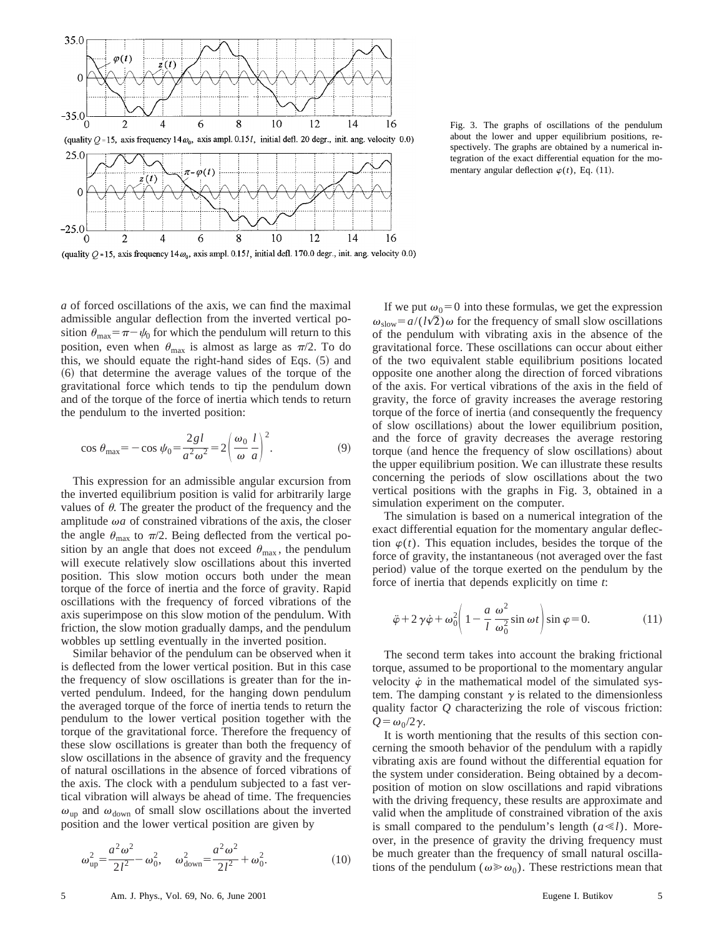

Fig. 3. The graphs of oscillations of the pendulum about the lower and upper equilibrium positions, respectively. The graphs are obtained by a numerical integration of the exact differential equation for the momentary angular deflection  $\varphi(t)$ , Eq. (11).

(quality  $Q$  = 15, axis frequency 14 $\omega_0$ , axis ampl. 0.151, initial defl. 170.0 degr., init. ang. velocity 0.0)

*a* of forced oscillations of the axis, we can find the maximal admissible angular deflection from the inverted vertical position  $\theta_{\text{max}} = \pi - \psi_0$  for which the pendulum will return to this position, even when  $\theta_{\text{max}}$  is almost as large as  $\pi/2$ . To do this, we should equate the right-hand sides of Eqs.  $(5)$  and  $(6)$  that determine the average values of the torque of the gravitational force which tends to tip the pendulum down and of the torque of the force of inertia which tends to return the pendulum to the inverted position:

$$
\cos \theta_{\text{max}} = -\cos \psi_0 = \frac{2gl}{a^2 \omega^2} = 2 \left( \frac{\omega_0}{\omega} \frac{l}{a} \right)^2.
$$
 (9)

This expression for an admissible angular excursion from the inverted equilibrium position is valid for arbitrarily large values of  $\theta$ . The greater the product of the frequency and the amplitude  $\omega a$  of constrained vibrations of the axis, the closer the angle  $\theta_{\text{max}}$  to  $\pi/2$ . Being deflected from the vertical position by an angle that does not exceed  $\theta_{\text{max}}$ , the pendulum will execute relatively slow oscillations about this inverted position. This slow motion occurs both under the mean torque of the force of inertia and the force of gravity. Rapid oscillations with the frequency of forced vibrations of the axis superimpose on this slow motion of the pendulum. With friction, the slow motion gradually damps, and the pendulum wobbles up settling eventually in the inverted position.

Similar behavior of the pendulum can be observed when it is deflected from the lower vertical position. But in this case the frequency of slow oscillations is greater than for the inverted pendulum. Indeed, for the hanging down pendulum the averaged torque of the force of inertia tends to return the pendulum to the lower vertical position together with the torque of the gravitational force. Therefore the frequency of these slow oscillations is greater than both the frequency of slow oscillations in the absence of gravity and the frequency of natural oscillations in the absence of forced vibrations of the axis. The clock with a pendulum subjected to a fast vertical vibration will always be ahead of time. The frequencies  $\omega_{\text{up}}$  and  $\omega_{\text{down}}$  of small slow oscillations about the inverted position and the lower vertical position are given by

$$
\omega_{\rm up}^2 = \frac{a^2 \omega^2}{2l^2} - \omega_0^2, \quad \omega_{\rm down}^2 = \frac{a^2 \omega^2}{2l^2} + \omega_0^2. \tag{10}
$$

If we put  $\omega_0=0$  into these formulas, we get the expression  $\omega_{slow} = a/(l\sqrt{2})\omega$  for the frequency of small slow oscillations of the pendulum with vibrating axis in the absence of the gravitational force. These oscillations can occur about either of the two equivalent stable equilibrium positions located opposite one another along the direction of forced vibrations of the axis. For vertical vibrations of the axis in the field of gravity, the force of gravity increases the average restoring torque of the force of inertia (and consequently the frequency of slow oscillations) about the lower equilibrium position, and the force of gravity decreases the average restoring torque (and hence the frequency of slow oscillations) about the upper equilibrium position. We can illustrate these results concerning the periods of slow oscillations about the two vertical positions with the graphs in Fig. 3, obtained in a simulation experiment on the computer.

The simulation is based on a numerical integration of the exact differential equation for the momentary angular deflection  $\varphi(t)$ . This equation includes, besides the torque of the force of gravity, the instantaneous (not averaged over the fast period) value of the torque exerted on the pendulum by the force of inertia that depends explicitly on time *t*:

$$
\ddot{\varphi} + 2\gamma \dot{\varphi} + \omega_0^2 \left( 1 - \frac{a}{l} \frac{\omega^2}{\omega_0^2} \sin \omega t \right) \sin \varphi = 0.
$$
 (11)

The second term takes into account the braking frictional torque, assumed to be proportional to the momentary angular velocity  $\dot{\varphi}$  in the mathematical model of the simulated system. The damping constant  $\gamma$  is related to the dimensionless quality factor *Q* characterizing the role of viscous friction:  $Q = \omega_0/2\gamma$ .

It is worth mentioning that the results of this section concerning the smooth behavior of the pendulum with a rapidly vibrating axis are found without the differential equation for the system under consideration. Being obtained by a decomposition of motion on slow oscillations and rapid vibrations with the driving frequency, these results are approximate and valid when the amplitude of constrained vibration of the axis is small compared to the pendulum's length  $(a \ll l)$ . Moreover, in the presence of gravity the driving frequency must be much greater than the frequency of small natural oscillations of the pendulum ( $\omega \ge \omega_0$ ). These restrictions mean that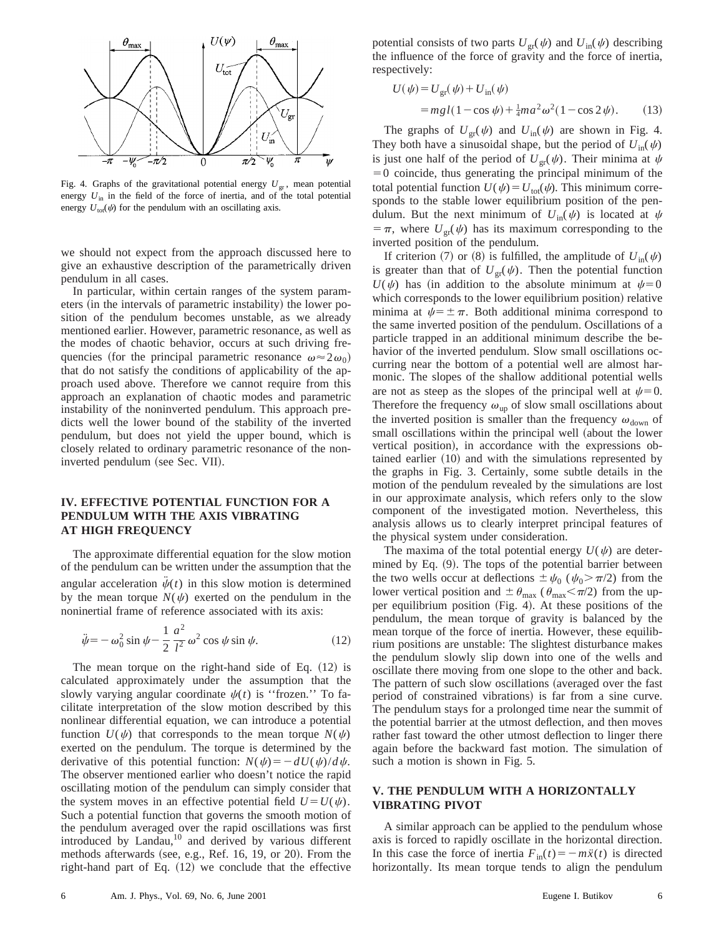

Fig. 4. Graphs of the gravitational potential energy  $U_{\text{gr}}$ , mean potential energy  $U_{\text{in}}$  in the field of the force of inertia, and of the total potential energy  $U_{\text{tot}}(\psi)$  for the pendulum with an oscillating axis.

we should not expect from the approach discussed here to give an exhaustive description of the parametrically driven pendulum in all cases.

In particular, within certain ranges of the system parameters (in the intervals of parametric instability) the lower position of the pendulum becomes unstable, as we already mentioned earlier. However, parametric resonance, as well as the modes of chaotic behavior, occurs at such driving frequencies (for the principal parametric resonance  $\omega \approx 2\omega_0$ ) that do not satisfy the conditions of applicability of the approach used above. Therefore we cannot require from this approach an explanation of chaotic modes and parametric instability of the noninverted pendulum. This approach predicts well the lower bound of the stability of the inverted pendulum, but does not yield the upper bound, which is closely related to ordinary parametric resonance of the noninverted pendulum (see Sec. VII).

# **IV. EFFECTIVE POTENTIAL FUNCTION FOR A PENDULUM WITH THE AXIS VIBRATING AT HIGH FREQUENCY**

The approximate differential equation for the slow motion of the pendulum can be written under the assumption that the angular acceleration  $\ddot{\psi}(t)$  in this slow motion is determined by the mean torque  $N(\psi)$  exerted on the pendulum in the noninertial frame of reference associated with its axis:

$$
\ddot{\psi} = -\omega_0^2 \sin \psi - \frac{1}{2} \frac{a^2}{l^2} \omega^2 \cos \psi \sin \psi. \tag{12}
$$

The mean torque on the right-hand side of Eq.  $(12)$  is calculated approximately under the assumption that the slowly varying angular coordinate  $\psi(t)$  is "frozen." To facilitate interpretation of the slow motion described by this nonlinear differential equation, we can introduce a potential function  $U(\psi)$  that corresponds to the mean torque  $N(\psi)$ exerted on the pendulum. The torque is determined by the derivative of this potential function:  $N(\psi) = -dU(\psi)/d\psi$ . The observer mentioned earlier who doesn't notice the rapid oscillating motion of the pendulum can simply consider that the system moves in an effective potential field  $U = U(\psi)$ . Such a potential function that governs the smooth motion of the pendulum averaged over the rapid oscillations was first introduced by Landau, $^{10}$  and derived by various different methods afterwards (see, e.g., Ref. 16, 19, or 20). From the right-hand part of Eq.  $(12)$  we conclude that the effective potential consists of two parts  $U_{\text{gr}}(\psi)$  and  $U_{\text{in}}(\psi)$  describing the influence of the force of gravity and the force of inertia, respectively:

$$
U(\psi) = U_{\rm gr}(\psi) + U_{\rm in}(\psi)
$$
  
=  $mg l (1 - \cos \psi) + \frac{1}{4} m a^2 \omega^2 (1 - \cos 2 \psi).$  (13)

The graphs of  $U_{\text{gr}}(\psi)$  and  $U_{\text{in}}(\psi)$  are shown in Fig. 4. They both have a sinusoidal shape, but the period of  $U_{\text{in}}(\psi)$ is just one half of the period of  $U_{\text{gr}}(\psi)$ . Their minima at  $\psi$  $=0$  coincide, thus generating the principal minimum of the total potential function  $U(\psi) = U_{\text{tot}}(\psi)$ . This minimum corresponds to the stable lower equilibrium position of the pendulum. But the next minimum of  $U_{in}(\psi)$  is located at  $\psi$  $=$   $\pi$ , where  $U_{\text{gr}}(\psi)$  has its maximum corresponding to the inverted position of the pendulum.

If criterion (7) or (8) is fulfilled, the amplitude of  $U_{\text{in}}(\psi)$ is greater than that of  $U_{\text{gr}}(\psi)$ . Then the potential function  $U(\psi)$  has (in addition to the absolute minimum at  $\psi=0$ which corresponds to the lower equilibrium position) relative minima at  $\psi = \pm \pi$ . Both additional minima correspond to the same inverted position of the pendulum. Oscillations of a particle trapped in an additional minimum describe the behavior of the inverted pendulum. Slow small oscillations occurring near the bottom of a potential well are almost harmonic. The slopes of the shallow additional potential wells are not as steep as the slopes of the principal well at  $\psi=0$ . Therefore the frequency  $\omega_{\text{up}}$  of slow small oscillations about the inverted position is smaller than the frequency  $\omega_{\text{down}}$  of small oscillations within the principal well (about the lower vertical position), in accordance with the expressions obtained earlier  $(10)$  and with the simulations represented by the graphs in Fig. 3. Certainly, some subtle details in the motion of the pendulum revealed by the simulations are lost in our approximate analysis, which refers only to the slow component of the investigated motion. Nevertheless, this analysis allows us to clearly interpret principal features of the physical system under consideration.

The maxima of the total potential energy  $U(\psi)$  are determined by Eq.  $(9)$ . The tops of the potential barrier between the two wells occur at deflections  $\pm \psi_0$  ( $\psi_0 > \pi/2$ ) from the lower vertical position and  $\pm \theta_{\text{max}}$  ( $\theta_{\text{max}} < \pi/2$ ) from the upper equilibrium position (Fig. 4). At these positions of the pendulum, the mean torque of gravity is balanced by the mean torque of the force of inertia. However, these equilibrium positions are unstable: The slightest disturbance makes the pendulum slowly slip down into one of the wells and oscillate there moving from one slope to the other and back. The pattern of such slow oscillations (averaged over the fast period of constrained vibrations) is far from a sine curve. The pendulum stays for a prolonged time near the summit of the potential barrier at the utmost deflection, and then moves rather fast toward the other utmost deflection to linger there again before the backward fast motion. The simulation of such a motion is shown in Fig. 5.

#### **V. THE PENDULUM WITH A HORIZONTALLY VIBRATING PIVOT**

A similar approach can be applied to the pendulum whose axis is forced to rapidly oscillate in the horizontal direction. In this case the force of inertia  $F_{in}(t) = -m\ddot{x}(t)$  is directed horizontally. Its mean torque tends to align the pendulum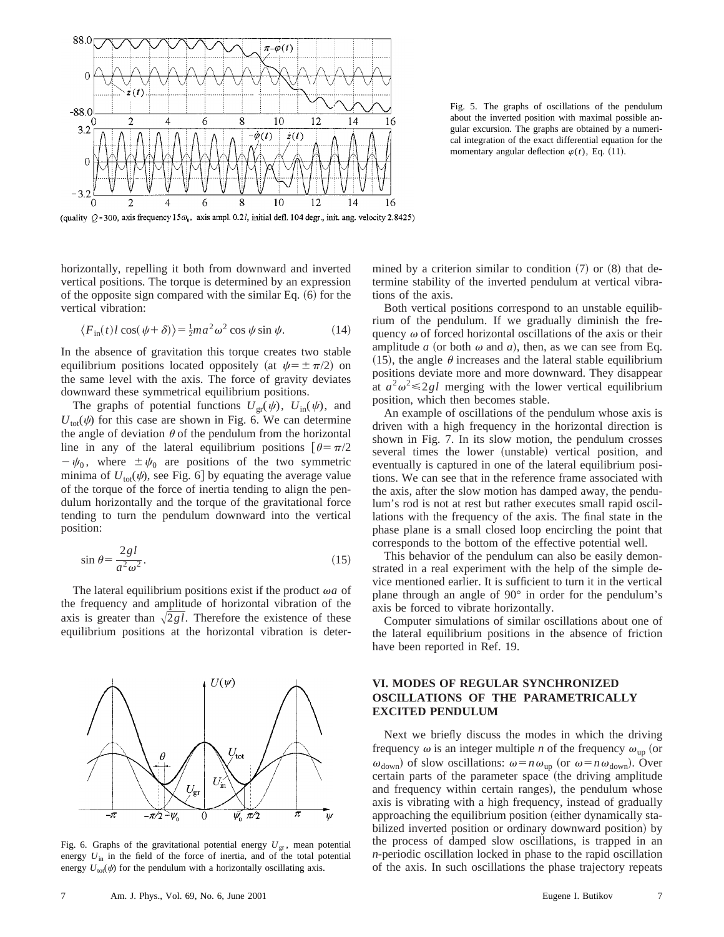

Fig. 5. The graphs of oscillations of the pendulum about the inverted position with maximal possible angular excursion. The graphs are obtained by a numerical integration of the exact differential equation for the momentary angular deflection  $\varphi(t)$ , Eq. (11).

(quality  $Q = 300$ , axis frequency  $15\omega_0$ , axis ampl. 0.2*l*, initial defl. 104 degr., init. ang. velocity 2.8425)

horizontally, repelling it both from downward and inverted vertical positions. The torque is determined by an expression of the opposite sign compared with the similar Eq.  $(6)$  for the vertical vibration:

$$
\langle F_{\rm in}(t)l\cos(\psi+\delta)\rangle = \frac{1}{2}ma^2\omega^2\cos\psi\sin\psi. \tag{14}
$$

In the absence of gravitation this torque creates two stable equilibrium positions located oppositely (at  $\psi = \pm \pi/2$ ) on the same level with the axis. The force of gravity deviates downward these symmetrical equilibrium positions.

The graphs of potential functions  $U_{\rm gr}(\psi)$ ,  $U_{\rm in}(\psi)$ , and  $U_{\text{tot}}(\psi)$  for this case are shown in Fig. 6. We can determine the angle of deviation  $\theta$  of the pendulum from the horizontal line in any of the lateral equilibrium positions  $\left[\theta = \pi/2\right]$  $-\psi_0$ , where  $\pm \psi_0$  are positions of the two symmetric minima of  $U_{\text{tot}}(\psi)$ , see Fig. 6 by equating the average value of the torque of the force of inertia tending to align the pendulum horizontally and the torque of the gravitational force tending to turn the pendulum downward into the vertical position:

$$
\sin \theta = \frac{2gl}{a^2 \omega^2}.
$$
\n(15)

The lateral equilibrium positions exist if the product  $\omega a$  of the frequency and amplitude of horizontal vibration of the axis is greater than  $\sqrt{2gl}$ . Therefore the existence of these equilibrium positions at the horizontal vibration is deter-



Fig. 6. Graphs of the gravitational potential energy  $U_{\rm gr}$ , mean potential energy  $U_{\text{in}}$  in the field of the force of inertia, and of the total potential energy  $U_{\text{tot}}(\psi)$  for the pendulum with a horizontally oscillating axis.

mined by a criterion similar to condition  $(7)$  or  $(8)$  that determine stability of the inverted pendulum at vertical vibrations of the axis.

Both vertical positions correspond to an unstable equilibrium of the pendulum. If we gradually diminish the frequency  $\omega$  of forced horizontal oscillations of the axis or their amplitude *a* (or both  $\omega$  and *a*), then, as we can see from Eq. (15), the angle  $\theta$  increases and the lateral stable equilibrium positions deviate more and more downward. They disappear at  $a^2\omega^2 \leq 2gl$  merging with the lower vertical equilibrium position, which then becomes stable.

An example of oscillations of the pendulum whose axis is driven with a high frequency in the horizontal direction is shown in Fig. 7. In its slow motion, the pendulum crosses several times the lower (unstable) vertical position, and eventually is captured in one of the lateral equilibrium positions. We can see that in the reference frame associated with the axis, after the slow motion has damped away, the pendulum's rod is not at rest but rather executes small rapid oscillations with the frequency of the axis. The final state in the phase plane is a small closed loop encircling the point that corresponds to the bottom of the effective potential well.

This behavior of the pendulum can also be easily demonstrated in a real experiment with the help of the simple device mentioned earlier. It is sufficient to turn it in the vertical plane through an angle of 90° in order for the pendulum's axis be forced to vibrate horizontally.

Computer simulations of similar oscillations about one of the lateral equilibrium positions in the absence of friction have been reported in Ref. 19.

# **VI. MODES OF REGULAR SYNCHRONIZED OSCILLATIONS OF THE PARAMETRICALLY EXCITED PENDULUM**

Next we briefly discuss the modes in which the driving frequency  $\omega$  is an integer multiple *n* of the frequency  $\omega_{\text{un}}$  (or  $\omega_{\text{down}}$  of slow oscillations:  $\omega = n \omega_{\text{up}}$  (or  $\omega = n \omega_{\text{down}}$ ). Over certain parts of the parameter space (the driving amplitude and frequency within certain ranges), the pendulum whose axis is vibrating with a high frequency, instead of gradually approaching the equilibrium position (either dynamically stabilized inverted position or ordinary downward position) by the process of damped slow oscillations, is trapped in an *n*-periodic oscillation locked in phase to the rapid oscillation of the axis. In such oscillations the phase trajectory repeats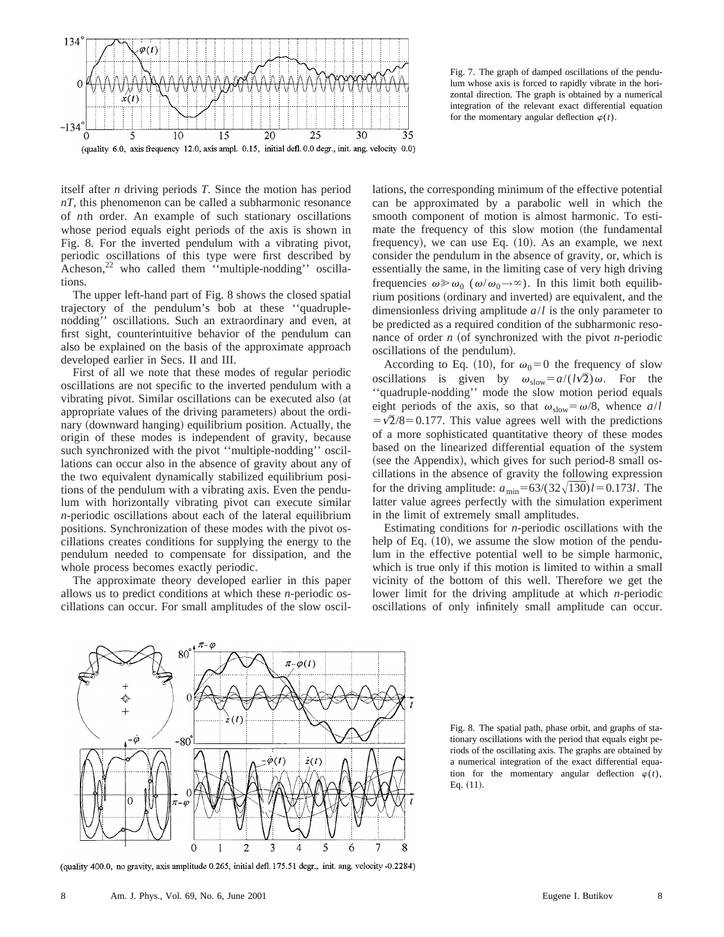

Fig. 7. The graph of damped oscillations of the pendulum whose axis is forced to rapidly vibrate in the horizontal direction. The graph is obtained by a numerical integration of the relevant exact differential equation for the momentary angular deflection  $\varphi(t)$ .

itself after *n* driving periods *T*. Since the motion has period *nT*, this phenomenon can be called a subharmonic resonance of *n*th order. An example of such stationary oscillations whose period equals eight periods of the axis is shown in Fig. 8. For the inverted pendulum with a vibrating pivot, periodic oscillations of this type were first described by Acheson,<sup>22</sup> who called them "multiple-nodding" oscillations.

The upper left-hand part of Fig. 8 shows the closed spatial trajectory of the pendulum's bob at these ''quadruplenodding'' oscillations. Such an extraordinary and even, at first sight, counterintuitive behavior of the pendulum can also be explained on the basis of the approximate approach developed earlier in Secs. II and III.

First of all we note that these modes of regular periodic oscillations are not specific to the inverted pendulum with a vibrating pivot. Similar oscillations can be executed also (at appropriate values of the driving parameters) about the ordinary (downward hanging) equilibrium position. Actually, the origin of these modes is independent of gravity, because such synchronized with the pivot ''multiple-nodding'' oscillations can occur also in the absence of gravity about any of the two equivalent dynamically stabilized equilibrium positions of the pendulum with a vibrating axis. Even the pendulum with horizontally vibrating pivot can execute similar *n*-periodic oscillations about each of the lateral equilibrium positions. Synchronization of these modes with the pivot oscillations creates conditions for supplying the energy to the pendulum needed to compensate for dissipation, and the whole process becomes exactly periodic.

The approximate theory developed earlier in this paper allows us to predict conditions at which these *n*-periodic oscillations can occur. For small amplitudes of the slow oscillations, the corresponding minimum of the effective potential can be approximated by a parabolic well in which the smooth component of motion is almost harmonic. To estimate the frequency of this slow motion (the fundamental frequency), we can use Eq.  $(10)$ . As an example, we next consider the pendulum in the absence of gravity, or, which is essentially the same, in the limiting case of very high driving frequencies  $\omega \gg \omega_0$  ( $\omega/\omega_0 \rightarrow \infty$ ). In this limit both equilibrium positions (ordinary and inverted) are equivalent, and the dimensionless driving amplitude *a*/*l* is the only parameter to be predicted as a required condition of the subharmonic resonance of order  $n$  (of synchronized with the pivot  $n$ -periodic oscillations of the pendulum).

According to Eq. (10), for  $\omega_0=0$  the frequency of slow oscillations is given by  $\omega_{slow} = a/(l\sqrt{2})\omega$ . For the ''quadruple-nodding'' mode the slow motion period equals eight periods of the axis, so that  $\omega_{slow} = \omega/8$ , whence  $a/l$  $=\sqrt{2}/8$ =0.177. This value agrees well with the predictions of a more sophisticated quantitative theory of these modes based on the linearized differential equation of the system (see the Appendix), which gives for such period-8 small oscillations in the absence of gravity the following expression for the driving amplitude:  $a_{\text{min}}=63/(32\sqrt{130})$ *l* = 0.173*l*. The latter value agrees perfectly with the simulation experiment in the limit of extremely small amplitudes.

Estimating conditions for *n*-periodic oscillations with the help of Eq.  $(10)$ , we assume the slow motion of the pendulum in the effective potential well to be simple harmonic, which is true only if this motion is limited to within a small vicinity of the bottom of this well. Therefore we get the lower limit for the driving amplitude at which *n*-periodic oscillations of only infinitely small amplitude can occur.



(quality 400.0, no gravity, axis amplitude 0.265, initial defl. 175.51 degr., init. ang. velocity -0.2284)

Fig. 8. The spatial path, phase orbit, and graphs of stationary oscillations with the period that equals eight periods of the oscillating axis. The graphs are obtained by a numerical integration of the exact differential equation for the momentary angular deflection  $\varphi(t)$ , Eq.  $(11)$ .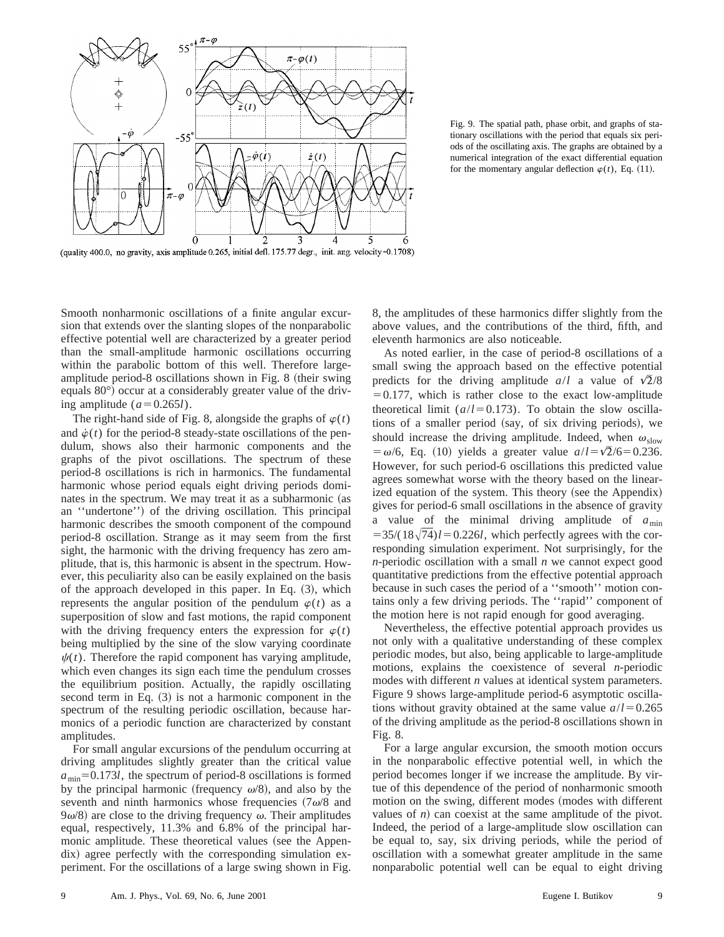

Fig. 9. The spatial path, phase orbit, and graphs of stationary oscillations with the period that equals six periods of the oscillating axis. The graphs are obtained by a numerical integration of the exact differential equation for the momentary angular deflection  $\varphi(t)$ , Eq. (11).

(quality 400.0, no gravity, axis amplitude 0.265, initial defi. 175.77 degr., init. ang. velocity -0.1708)

Smooth nonharmonic oscillations of a finite angular excursion that extends over the slanting slopes of the nonparabolic effective potential well are characterized by a greater period than the small-amplitude harmonic oscillations occurring within the parabolic bottom of this well. Therefore largeamplitude period-8 oscillations shown in Fig. 8 (their swing equals  $80^{\circ}$ ) occur at a considerably greater value of the driving amplitude  $(a=0.265l)$ .

The right-hand side of Fig. 8, alongside the graphs of  $\varphi(t)$ and  $\dot{\varphi}(t)$  for the period-8 steady-state oscillations of the pendulum, shows also their harmonic components and the graphs of the pivot oscillations. The spectrum of these period-8 oscillations is rich in harmonics. The fundamental harmonic whose period equals eight driving periods dominates in the spectrum. We may treat it as a subharmonic (as an "undertone") of the driving oscillation. This principal harmonic describes the smooth component of the compound period-8 oscillation. Strange as it may seem from the first sight, the harmonic with the driving frequency has zero amplitude, that is, this harmonic is absent in the spectrum. However, this peculiarity also can be easily explained on the basis of the approach developed in this paper. In Eq.  $(3)$ , which represents the angular position of the pendulum  $\varphi(t)$  as a superposition of slow and fast motions, the rapid component with the driving frequency enters the expression for  $\varphi(t)$ being multiplied by the sine of the slow varying coordinate  $\psi(t)$ . Therefore the rapid component has varying amplitude, which even changes its sign each time the pendulum crosses the equilibrium position. Actually, the rapidly oscillating second term in Eq.  $(3)$  is not a harmonic component in the spectrum of the resulting periodic oscillation, because harmonics of a periodic function are characterized by constant amplitudes.

For small angular excursions of the pendulum occurring at driving amplitudes slightly greater than the critical value  $a_{\text{min}}$ =0.173*l*, the spectrum of period-8 oscillations is formed by the principal harmonic (frequency  $\omega/8$ ), and also by the seventh and ninth harmonics whose frequencies  $(7\omega/8)$  and  $9\omega/8$  are close to the driving frequency  $\omega$ . Their amplitudes equal, respectively, 11.3% and 6.8% of the principal harmonic amplitude. These theoretical values (see the Appendix) agree perfectly with the corresponding simulation experiment. For the oscillations of a large swing shown in Fig. 8, the amplitudes of these harmonics differ slightly from the above values, and the contributions of the third, fifth, and eleventh harmonics are also noticeable.

As noted earlier, in the case of period-8 oscillations of a small swing the approach based on the effective potential predicts for the driving amplitude  $a/l$  a value of  $\sqrt{2}/8$  $=0.177$ , which is rather close to the exact low-amplitude theoretical limit  $(a/l=0.173)$ . To obtain the slow oscillations of a smaller period (say, of six driving periods), we should increase the driving amplitude. Indeed, when  $\omega_{slow}$  $=\omega/6$ , Eq. (10) yields a greater value  $a/l = \sqrt{2}/6 = 0.236$ . However, for such period-6 oscillations this predicted value agrees somewhat worse with the theory based on the linearized equation of the system. This theory (see the Appendix) gives for period-6 small oscillations in the absence of gravity a value of the minimal driving amplitude of  $a_{\min}$  $=35/(18\sqrt{74})$ *l* $= 0.226$ *l*, which perfectly agrees with the corresponding simulation experiment. Not surprisingly, for the *n*-periodic oscillation with a small *n* we cannot expect good quantitative predictions from the effective potential approach because in such cases the period of a ''smooth'' motion contains only a few driving periods. The ''rapid'' component of the motion here is not rapid enough for good averaging.

Nevertheless, the effective potential approach provides us not only with a qualitative understanding of these complex periodic modes, but also, being applicable to large-amplitude motions, explains the coexistence of several *n*-periodic modes with different *n* values at identical system parameters. Figure 9 shows large-amplitude period-6 asymptotic oscillations without gravity obtained at the same value  $a/l = 0.265$ of the driving amplitude as the period-8 oscillations shown in Fig. 8.

For a large angular excursion, the smooth motion occurs in the nonparabolic effective potential well, in which the period becomes longer if we increase the amplitude. By virtue of this dependence of the period of nonharmonic smooth motion on the swing, different modes (modes with different values of  $n$ ) can coexist at the same amplitude of the pivot. Indeed, the period of a large-amplitude slow oscillation can be equal to, say, six driving periods, while the period of oscillation with a somewhat greater amplitude in the same nonparabolic potential well can be equal to eight driving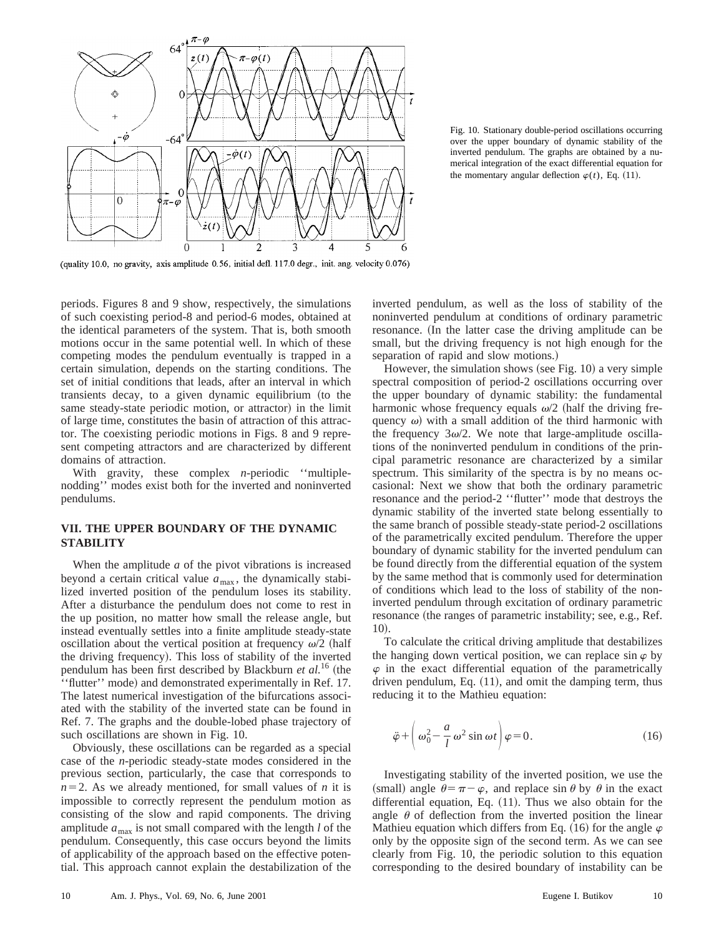

Fig. 10. Stationary double-period oscillations occurring over the upper boundary of dynamic stability of the inverted pendulum. The graphs are obtained by a numerical integration of the exact differential equation for the momentary angular deflection  $\varphi(t)$ , Eq. (11).

(quality 10.0, no gravity, axis amplitude 0.56, initial defl. 117.0 degr., init. ang. velocity 0.076)

periods. Figures 8 and 9 show, respectively, the simulations of such coexisting period-8 and period-6 modes, obtained at the identical parameters of the system. That is, both smooth motions occur in the same potential well. In which of these competing modes the pendulum eventually is trapped in a certain simulation, depends on the starting conditions. The set of initial conditions that leads, after an interval in which transients decay, to a given dynamic equilibrium (to the same steady-state periodic motion, or attractor) in the limit of large time, constitutes the basin of attraction of this attractor. The coexisting periodic motions in Figs. 8 and 9 represent competing attractors and are characterized by different domains of attraction.

With gravity, these complex *n*-periodic ''multiplenodding'' modes exist both for the inverted and noninverted pendulums.

# **VII. THE UPPER BOUNDARY OF THE DYNAMIC STABILITY**

When the amplitude *a* of the pivot vibrations is increased beyond a certain critical value  $a_{\text{max}}$ , the dynamically stabilized inverted position of the pendulum loses its stability. After a disturbance the pendulum does not come to rest in the up position, no matter how small the release angle, but instead eventually settles into a finite amplitude steady-state oscillation about the vertical position at frequency  $\omega/2$  (half the driving frequency). This loss of stability of the inverted pendulum has been first described by Blackburn *et al.*<sup>16</sup> (the "flutter" mode) and demonstrated experimentally in Ref. 17. The latest numerical investigation of the bifurcations associated with the stability of the inverted state can be found in Ref. 7. The graphs and the double-lobed phase trajectory of such oscillations are shown in Fig. 10.

Obviously, these oscillations can be regarded as a special case of the *n*-periodic steady-state modes considered in the previous section, particularly, the case that corresponds to  $n=2$ . As we already mentioned, for small values of *n* it is impossible to correctly represent the pendulum motion as consisting of the slow and rapid components. The driving amplitude  $a_{\text{max}}$  is not small compared with the length  $l$  of the pendulum. Consequently, this case occurs beyond the limits of applicability of the approach based on the effective potential. This approach cannot explain the destabilization of the inverted pendulum, as well as the loss of stability of the noninverted pendulum at conditions of ordinary parametric resonance. (In the latter case the driving amplitude can be small, but the driving frequency is not high enough for the separation of rapid and slow motions.)

However, the simulation shows (see Fig.  $10$ ) a very simple spectral composition of period-2 oscillations occurring over the upper boundary of dynamic stability: the fundamental harmonic whose frequency equals  $\omega/2$  (half the driving frequency  $\omega$ ) with a small addition of the third harmonic with the frequency  $3\omega/2$ . We note that large-amplitude oscillations of the noninverted pendulum in conditions of the principal parametric resonance are characterized by a similar spectrum. This similarity of the spectra is by no means occasional: Next we show that both the ordinary parametric resonance and the period-2 ''flutter'' mode that destroys the dynamic stability of the inverted state belong essentially to the same branch of possible steady-state period-2 oscillations of the parametrically excited pendulum. Therefore the upper boundary of dynamic stability for the inverted pendulum can be found directly from the differential equation of the system by the same method that is commonly used for determination of conditions which lead to the loss of stability of the noninverted pendulum through excitation of ordinary parametric resonance (the ranges of parametric instability; see, e.g., Ref. 10).

To calculate the critical driving amplitude that destabilizes the hanging down vertical position, we can replace  $\sin \varphi$  by  $\varphi$  in the exact differential equation of the parametrically driven pendulum, Eq.  $(11)$ , and omit the damping term, thus reducing it to the Mathieu equation:

$$
\ddot{\varphi} + \left(\omega_0^2 - \frac{a}{l}\omega^2 \sin \omega t\right)\varphi = 0.
$$
 (16)

Investigating stability of the inverted position, we use the (small) angle  $\theta = \pi - \varphi$ , and replace sin  $\theta$  by  $\theta$  in the exact differential equation, Eq.  $(11)$ . Thus we also obtain for the angle  $\theta$  of deflection from the inverted position the linear Mathieu equation which differs from Eq. (16) for the angle  $\varphi$ only by the opposite sign of the second term. As we can see clearly from Fig. 10, the periodic solution to this equation corresponding to the desired boundary of instability can be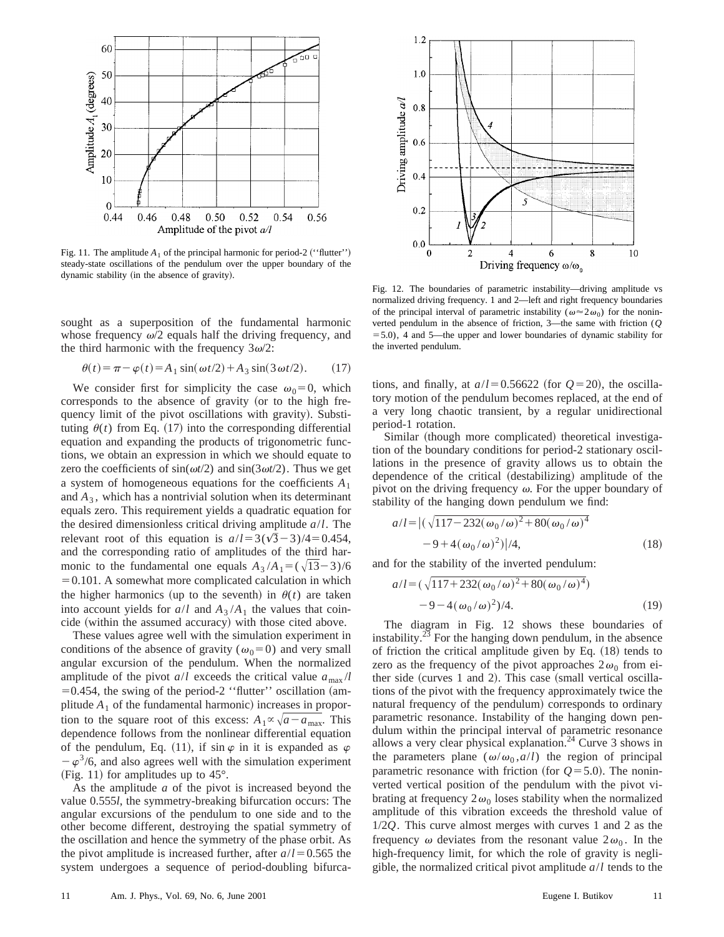

Fig. 11. The amplitude  $A_1$  of the principal harmonic for period-2 ("flutter") steady-state oscillations of the pendulum over the upper boundary of the dynamic stability (in the absence of gravity).

sought as a superposition of the fundamental harmonic whose frequency  $\omega/2$  equals half the driving frequency, and the third harmonic with the frequency  $3\omega/2$ :

$$
\theta(t) = \pi - \varphi(t) = A_1 \sin(\omega t/2) + A_3 \sin(3\omega t/2). \tag{17}
$$

We consider first for simplicity the case  $\omega_0=0$ , which corresponds to the absence of gravity (or to the high frequency limit of the pivot oscillations with gravity). Substituting  $\theta(t)$  from Eq. (17) into the corresponding differential equation and expanding the products of trigonometric functions, we obtain an expression in which we should equate to zero the coefficients of  $sin(\omega t/2)$  and  $sin(3\omega t/2)$ . Thus we get a system of homogeneous equations for the coefficients *A*<sup>1</sup> and  $A_3$ , which has a nontrivial solution when its determinant equals zero. This requirement yields a quadratic equation for the desired dimensionless critical driving amplitude *a*/*l*. The relevant root of this equation is  $a/l = 3(\sqrt{3}-3)/4 = 0.454$ , and the corresponding ratio of amplitudes of the third harmonic to the fundamental one equals  $A_3/A_1 = (\sqrt{13}-3)/6$  $=0.101$ . A somewhat more complicated calculation in which the higher harmonics (up to the seventh) in  $\theta(t)$  are taken into account yields for  $a/l$  and  $A_3/A_1$  the values that coincide (within the assumed accuracy) with those cited above.

These values agree well with the simulation experiment in conditions of the absence of gravity ( $\omega_0=0$ ) and very small angular excursion of the pendulum. When the normalized amplitude of the pivot  $a/l$  exceeds the critical value  $a_{\text{max}}/l$  $=0.454$ , the swing of the period-2 "flutter" oscillation (amplitude  $A_1$  of the fundamental harmonic) increases in proportion to the square root of this excess:  $A_1 \propto \sqrt{a-a_{\text{max}}}$ . This dependence follows from the nonlinear differential equation of the pendulum, Eq. (11), if  $\sin \varphi$  in it is expanded as  $\varphi$  $-\varphi^3/6$ , and also agrees well with the simulation experiment (Fig. 11) for amplitudes up to  $45^{\circ}$ .

As the amplitude *a* of the pivot is increased beyond the value 0.555*l*, the symmetry-breaking bifurcation occurs: The angular excursions of the pendulum to one side and to the other become different, destroying the spatial symmetry of the oscillation and hence the symmetry of the phase orbit. As the pivot amplitude is increased further, after  $a/l = 0.565$  the system undergoes a sequence of period-doubling bifurca-



Fig. 12. The boundaries of parametric instability—driving amplitude vs normalized driving frequency. 1 and 2—left and right frequency boundaries of the principal interval of parametric instability ( $\omega \approx 2\omega_0$ ) for the noninverted pendulum in the absence of friction, 3—the same with friction (*Q*  $=$  5.0), 4 and 5—the upper and lower boundaries of dynamic stability for the inverted pendulum.

tions, and finally, at  $a/l = 0.56622$  (for  $Q = 20$ ), the oscillatory motion of the pendulum becomes replaced, at the end of a very long chaotic transient, by a regular unidirectional period-1 rotation.

Similar (though more complicated) theoretical investigation of the boundary conditions for period-2 stationary oscillations in the presence of gravity allows us to obtain the dependence of the critical (destabilizing) amplitude of the pivot on the driving frequency  $\omega$ . For the upper boundary of stability of the hanging down pendulum we find:

$$
a/l = |(\sqrt{117 - 232(\omega_0/\omega)^2 + 80(\omega_0/\omega)^4} -9 + 4(\omega_0/\omega)^2)|/4,
$$
\n(18)

and for the stability of the inverted pendulum:

$$
a/l = (\sqrt{117 + 232(\omega_0/\omega)^2 + 80(\omega_0/\omega)^4})
$$
  
-9-4( $\omega_0/\omega$ )<sup>2</sup>)/4. (19)

The diagram in Fig. 12 shows these boundaries of instability. $2<sup>3</sup>$  For the hanging down pendulum, in the absence of friction the critical amplitude given by Eq.  $(18)$  tends to zero as the frequency of the pivot approaches  $2\omega_0$  from either side (curves 1 and 2). This case (small vertical oscillations of the pivot with the frequency approximately twice the natural frequency of the pendulum) corresponds to ordinary parametric resonance. Instability of the hanging down pendulum within the principal interval of parametric resonance allows a very clear physical explanation.24 Curve 3 shows in the parameters plane  $(\omega/\omega_0, a/l)$  the region of principal parametric resonance with friction (for  $Q=5.0$ ). The noninverted vertical position of the pendulum with the pivot vibrating at frequency  $2\omega_0$  loses stability when the normalized amplitude of this vibration exceeds the threshold value of 1/2*Q*. This curve almost merges with curves 1 and 2 as the frequency  $\omega$  deviates from the resonant value  $2\omega_0$ . In the high-frequency limit, for which the role of gravity is negligible, the normalized critical pivot amplitude *a*/*l* tends to the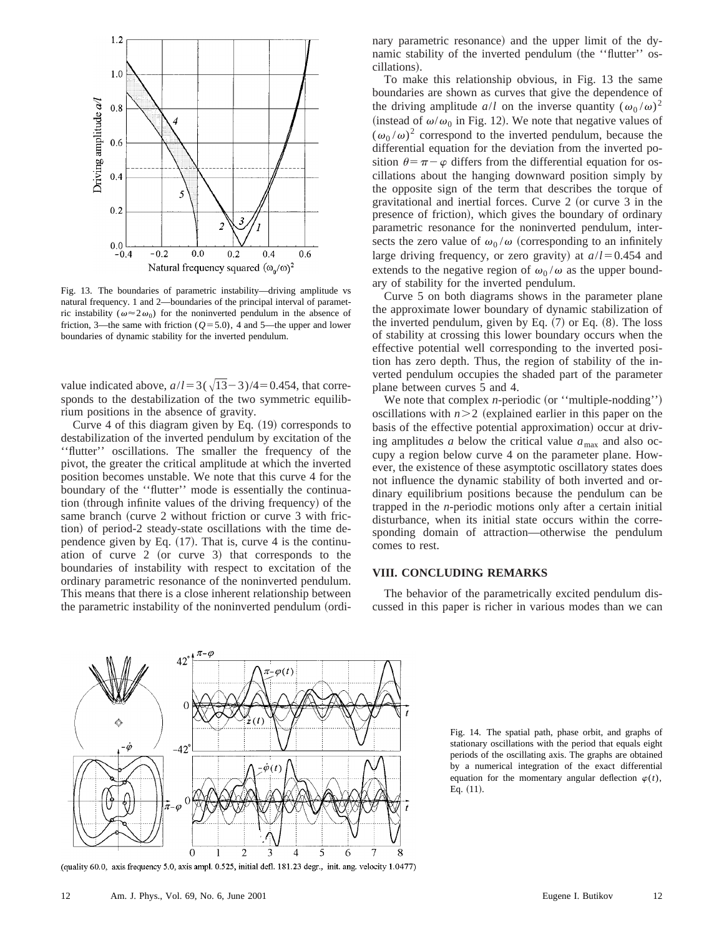

Fig. 13. The boundaries of parametric instability—driving amplitude vs natural frequency. 1 and 2—boundaries of the principal interval of parametric instability ( $\omega \approx 2\omega_0$ ) for the noninverted pendulum in the absence of friction, 3—the same with friction  $(Q=5.0)$ , 4 and 5—the upper and lower boundaries of dynamic stability for the inverted pendulum.

value indicated above,  $a/l = 3(\sqrt{13}-3)/4 = 0.454$ , that corresponds to the destabilization of the two symmetric equilibrium positions in the absence of gravity.

Curve  $4$  of this diagram given by Eq.  $(19)$  corresponds to destabilization of the inverted pendulum by excitation of the ''flutter'' oscillations. The smaller the frequency of the pivot, the greater the critical amplitude at which the inverted position becomes unstable. We note that this curve 4 for the boundary of the ''flutter'' mode is essentially the continuation (through infinite values of the driving frequency) of the same branch (curve 2 without friction or curve 3 with friction) of period-2 steady-state oscillations with the time dependence given by Eq.  $(17)$ . That is, curve 4 is the continuation of curve  $2$  (or curve 3) that corresponds to the boundaries of instability with respect to excitation of the ordinary parametric resonance of the noninverted pendulum. This means that there is a close inherent relationship between the parametric instability of the noninverted pendulum (ordinary parametric resonance) and the upper limit of the dynamic stability of the inverted pendulum (the "flutter" oscillations).

To make this relationship obvious, in Fig. 13 the same boundaries are shown as curves that give the dependence of the driving amplitude  $a/l$  on the inverse quantity  $(\omega_0/\omega)^2$ (instead of  $\omega/\omega_0$  in Fig. 12). We note that negative values of  $(\omega_0/\omega)^2$  correspond to the inverted pendulum, because the differential equation for the deviation from the inverted position  $\theta = \pi - \varphi$  differs from the differential equation for oscillations about the hanging downward position simply by the opposite sign of the term that describes the torque of gravitational and inertial forces. Curve  $2$  (or curve  $3$  in the presence of friction), which gives the boundary of ordinary parametric resonance for the noninverted pendulum, intersects the zero value of  $\omega_0 / \omega$  (corresponding to an infinitely large driving frequency, or zero gravity) at  $a/l = 0.454$  and extends to the negative region of  $\omega_0 / \omega$  as the upper boundary of stability for the inverted pendulum.

Curve 5 on both diagrams shows in the parameter plane the approximate lower boundary of dynamic stabilization of the inverted pendulum, given by Eq.  $(7)$  or Eq.  $(8)$ . The loss of stability at crossing this lower boundary occurs when the effective potential well corresponding to the inverted position has zero depth. Thus, the region of stability of the inverted pendulum occupies the shaded part of the parameter plane between curves 5 and 4.

We note that complex *n*-periodic (or "multiple-nodding") oscillations with  $n > 2$  (explained earlier in this paper on the basis of the effective potential approximation) occur at driving amplitudes *a* below the critical value  $a_{\text{max}}$  and also occupy a region below curve 4 on the parameter plane. However, the existence of these asymptotic oscillatory states does not influence the dynamic stability of both inverted and ordinary equilibrium positions because the pendulum can be trapped in the *n*-periodic motions only after a certain initial disturbance, when its initial state occurs within the corresponding domain of attraction—otherwise the pendulum comes to rest.

### **VIII. CONCLUDING REMARKS**

The behavior of the parametrically excited pendulum discussed in this paper is richer in various modes than we can



(quality 60.0, axis frequency 5.0, axis ampl. 0.525, initial defl. 181.23 degr., init. ang. velocity 1.0477)

Fig. 14. The spatial path, phase orbit, and graphs of stationary oscillations with the period that equals eight periods of the oscillating axis. The graphs are obtained by a numerical integration of the exact differential equation for the momentary angular deflection  $\varphi(t)$ , Eq.  $(11)$ .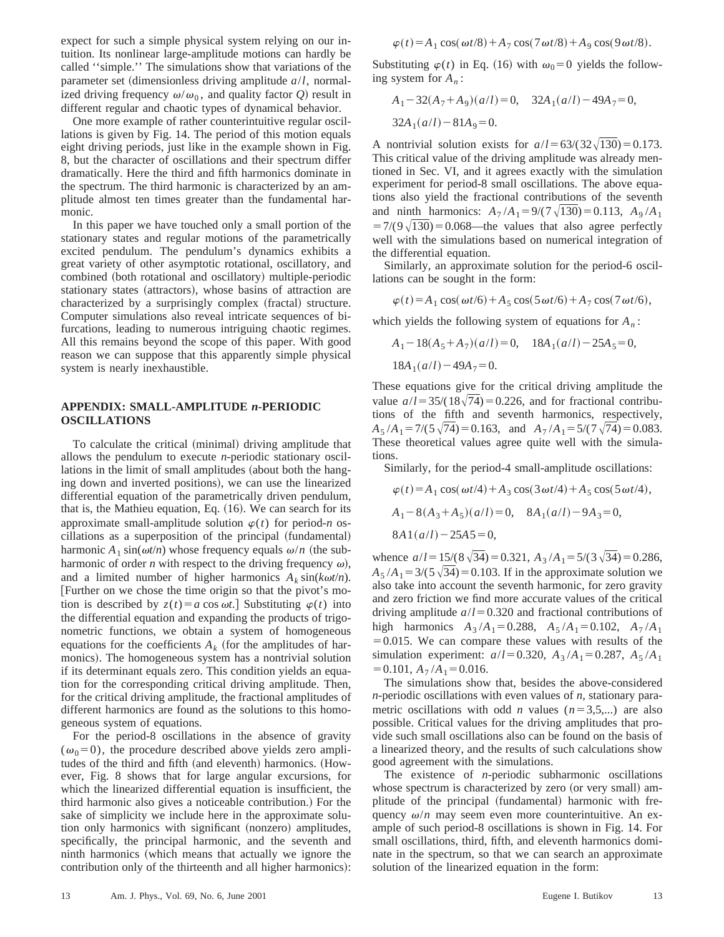expect for such a simple physical system relying on our intuition. Its nonlinear large-amplitude motions can hardly be called ''simple.'' The simulations show that variations of the parameter set (dimensionless driving amplitude  $a/l$ , normalized driving frequency  $\omega/\omega_0$ , and quality factor *Q*) result in different regular and chaotic types of dynamical behavior.

One more example of rather counterintuitive regular oscillations is given by Fig. 14. The period of this motion equals eight driving periods, just like in the example shown in Fig. 8, but the character of oscillations and their spectrum differ dramatically. Here the third and fifth harmonics dominate in the spectrum. The third harmonic is characterized by an amplitude almost ten times greater than the fundamental harmonic.

In this paper we have touched only a small portion of the stationary states and regular motions of the parametrically excited pendulum. The pendulum's dynamics exhibits a great variety of other asymptotic rotational, oscillatory, and combined (both rotational and oscillatory) multiple-periodic stationary states (attractors), whose basins of attraction are characterized by a surprisingly complex (fractal) structure. Computer simulations also reveal intricate sequences of bifurcations, leading to numerous intriguing chaotic regimes. All this remains beyond the scope of this paper. With good reason we can suppose that this apparently simple physical system is nearly inexhaustible.

# **APPENDIX: SMALL-AMPLITUDE** *n***-PERIODIC OSCILLATIONS**

To calculate the critical (minimal) driving amplitude that allows the pendulum to execute *n*-periodic stationary oscillations in the limit of small amplitudes (about both the hanging down and inverted positions), we can use the linearized differential equation of the parametrically driven pendulum, that is, the Mathieu equation, Eq.  $(16)$ . We can search for its approximate small-amplitude solution  $\varphi(t)$  for period-*n* oscillations as a superposition of the principal (fundamental) harmonic  $A_1 \sin(\omega t/n)$  whose frequency equals  $\omega/n$  (the subharmonic of order *n* with respect to the driving frequency  $\omega$ ), and a limited number of higher harmonics  $A_k \sin(k\omega t/n)$ . [Further on we chose the time origin so that the pivot's motion is described by  $z(t) = a \cos \omega t$ . Substituting  $\varphi(t)$  into the differential equation and expanding the products of trigonometric functions, we obtain a system of homogeneous equations for the coefficients  $A_k$  (for the amplitudes of harmonics). The homogeneous system has a nontrivial solution if its determinant equals zero. This condition yields an equation for the corresponding critical driving amplitude. Then, for the critical driving amplitude, the fractional amplitudes of different harmonics are found as the solutions to this homogeneous system of equations.

For the period-8 oscillations in the absence of gravity  $(\omega_0=0)$ , the procedure described above yields zero amplitudes of the third and fifth (and eleventh) harmonics. (However, Fig. 8 shows that for large angular excursions, for which the linearized differential equation is insufficient, the third harmonic also gives a noticeable contribution.! For the sake of simplicity we include here in the approximate solution only harmonics with significant (nonzero) amplitudes, specifically, the principal harmonic, and the seventh and ninth harmonics (which means that actually we ignore the contribution only of the thirteenth and all higher harmonics):

$$
\varphi(t) = A_1 \cos(\omega t/8) + A_7 \cos(7\omega t/8) + A_9 \cos(9\omega t/8).
$$

Substituting  $\varphi(t)$  in Eq. (16) with  $\omega_0 = 0$  yields the following system for *An* :

$$
A_1 - 32(A_7 + A_9)(a/l) = 0, \quad 32A_1(a/l) - 49A_7 = 0,
$$
  

$$
32A_1(a/l) - 81A_9 = 0.
$$

A nontrivial solution exists for  $a/l = 63/(32\sqrt{130}) = 0.173$ . This critical value of the driving amplitude was already mentioned in Sec. VI, and it agrees exactly with the simulation experiment for period-8 small oscillations. The above equations also yield the fractional contributions of the seventh and ninth harmonics:  $A_7 / A_1 = 9/(7 \sqrt{130}) = 0.113$ ,  $A_9 / A_1$  $=7/(9\sqrt{130})=0.068$ —the values that also agree perfectly well with the simulations based on numerical integration of the differential equation.

Similarly, an approximate solution for the period-6 oscillations can be sought in the form:

 $\varphi(t) = A_1 \cos(\omega t/6) + A_5 \cos(5\omega t/6) + A_7 \cos(7\omega t/6),$ 

which yields the following system of equations for  $A_n$ :

$$
A_1 - 18(A_5 + A_7)(a/l) = 0, \quad 18A_1(a/l) - 25A_5 = 0,
$$
  

$$
18A_1(a/l) - 49A_7 = 0.
$$

These equations give for the critical driving amplitude the value  $a/l = 35/(18\sqrt{74}) = 0.226$ , and for fractional contributions of the fifth and seventh harmonics, respectively,  $A_5 / A_1 = 7/(5\sqrt{74}) = 0.163$ , and  $A_7 / A_1 = 5/(7\sqrt{74}) = 0.083$ . These theoretical values agree quite well with the simulations.

Similarly, for the period-4 small-amplitude oscillations:

$$
\varphi(t) = A_1 \cos(\omega t/4) + A_3 \cos(3 \omega t/4) + A_5 \cos(5 \omega t/4),
$$
  
\n
$$
A_1 - 8(A_3 + A_5)(a/l) = 0, \quad 8A_1(a/l) - 9A_3 = 0,
$$
  
\n
$$
8A_1(a/l) - 25A_5 = 0,
$$

whence  $a/l = 15/(8\sqrt{34}) = 0.321$ ,  $A_3/A_1 = 5/(3\sqrt{34}) = 0.286$ ,  $A_5/A_1 = 3/(5\sqrt{34}) = 0.103$ . If in the approximate solution we also take into account the seventh harmonic, for zero gravity and zero friction we find more accurate values of the critical driving amplitude  $a/l = 0.320$  and fractional contributions of high harmonics  $A_3 / A_1 = 0.288$ ,  $A_5 / A_1 = 0.102$ ,  $A_7 / A_1$  $=0.015$ . We can compare these values with results of the simulation experiment:  $a/l = 0.320$ ,  $A_3/A_1 = 0.287$ ,  $A_5/A_1$  $=0.101, A_7/A_1=0.016.$ 

The simulations show that, besides the above-considered *n*-periodic oscillations with even values of *n*, stationary parametric oscillations with odd *n* values  $(n=3,5,...)$  are also possible. Critical values for the driving amplitudes that provide such small oscillations also can be found on the basis of a linearized theory, and the results of such calculations show good agreement with the simulations.

The existence of *n*-periodic subharmonic oscillations whose spectrum is characterized by zero (or very small) amplitude of the principal (fundamental) harmonic with frequency  $\omega/n$  may seem even more counterintuitive. An example of such period-8 oscillations is shown in Fig. 14. For small oscillations, third, fifth, and eleventh harmonics dominate in the spectrum, so that we can search an approximate solution of the linearized equation in the form: